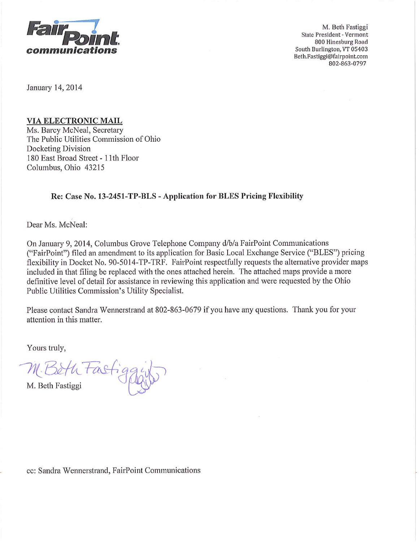

M. Beth Fastiggi **State President - Vermont** 800 Hinesburg Road South Burlington, VT 05403 Beth.Fastiggi@fairpoint.com 802-863-0797

January 14, 2014

# **VIA ELECTRONIC MAIL**

Ms. Barcy McNeal, Secretary The Public Utilities Commission of Ohio Docketing Division 180 East Broad Street - 11th Floor Columbus, Ohio 43215

# Re: Case No. 13-2451-TP-BLS - Application for BLES Pricing Flexibility

Dear Ms. McNeal:

On January 9, 2014, Columbus Grove Telephone Company d/b/a FairPoint Communications ("FairPoint") filed an amendment to its application for Basic Local Exchange Service ("BLES") pricing flexibility in Docket No. 90-5014-TP-TRF. FairPoint respectfully requests the alternative provider maps included in that filing be replaced with the ones attached herein. The attached maps provide a more definitive level of detail for assistance in reviewing this application and were requested by the Ohio Public Utilities Commission's Utility Specialist.

Please contact Sandra Wennerstrand at 802-863-0679 if you have any questions. Thank you for your attention in this matter.

Yours truly,

M. Beth Fastige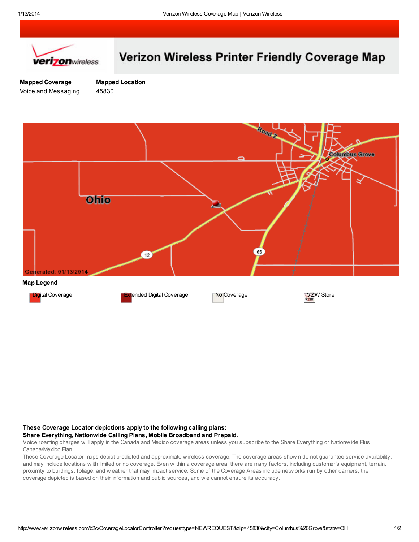

# Verizon Wireless Printer Friendly Coverage Map

Mapped Coverage Voice and Messaging

Mapped Location 45830



### These Coverage Locator depictions apply to the following calling plans:

#### Share Everything, Nationwide Calling Plans, Mobile Broadband and Prepaid.

Voice roaming charges w ill apply in the Canada and Mexico coverage areas unless you subscribe to the Share Everything or Nationw ide Plus Canada/Mexico Plan.

These Coverage Locator maps depict predicted and approximate w ireless coverage. The coverage areas show n do not guarantee service availability, and may include locations w ith limited or no coverage. Even w ithin a coverage area, there are many factors, including customer's equipment, terrain, proximity to buildings, foliage, and w eather that may impact service. Some of the Coverage Areas include netw orks run by other carriers, the coverage depicted is based on their information and public sources, and w e cannot ensure its accuracy.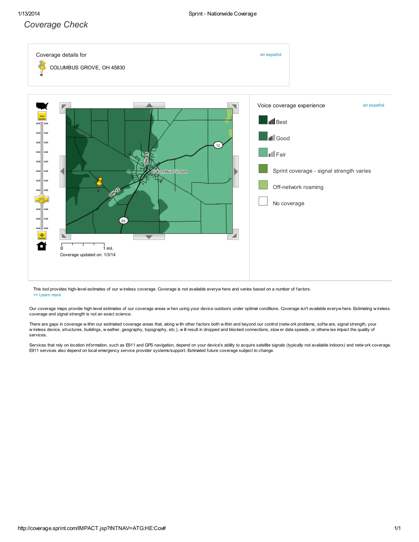## Coverage Check



This tool provides high-level estimates of our w ireless coverage. Coverage is not available everyw here and varies based on a number of factors. >> Learn more

Our coverage maps provide high-level estimates of our coverage areas w hen using your device outdoors under optimal conditions. Coverage isn't available everyw here. Estimating w ireless coverage and signal strength is not an exact science.

There are gaps in coverage w ithin our estimated coverage areas that, along w ith other factors both w ithin and beyond our control (netw ork problems, softw are, signal strength, your w ireless device, structures, buildings, w eather, geography, topography, etc.), will result in dropped and blocked connections, slow er data speeds, or otherw ise impact the quality of services.

Services that rely on location information, such as E911 and GPS navigation, depend on your device's ability to acquire satellite signals (typically not available indoors) and netw ork coverage. E911 services also depend on local emergency service provider systems/support. Estimated future coverage subject to change.